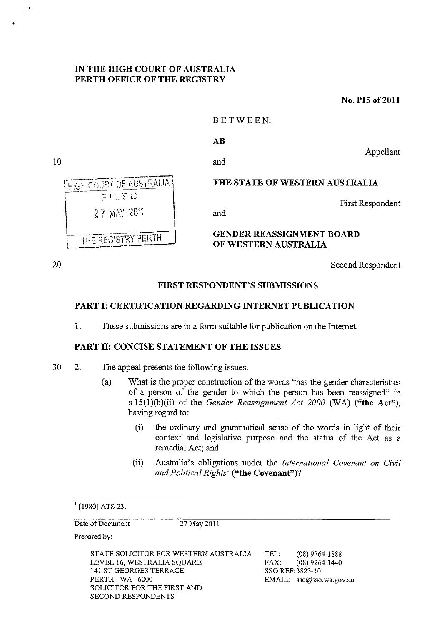### IN THE HIGH COURT OF AUSTRALIA PERTH OFFICE OF THE REGISTRY

No. PIS of 2011

### BETWEEN:

#### AB

and

and

10

•



THE STATE OF WESTERN AUSTRALIA

First Respondent

Appellant

#### GENDER REASSIGNMENT BOARD OF WESTERN AUSTRALIA

20

Second Respondent

# FIRST RESPONDENT'S SUBMISSIONS

# PART I: CERTIFICATION REGARDING INTERNET PUBLICATION

1. These submissions are in a form suitable for publication on the Internet.

#### PART II: CONCISE STATEMENT OF THE ISSUES

- 30 2. The appeal presents the following issues.
	- (a) What is the proper construction of the words "has the gender characteristics of a person of the gender to which the person has been reassigned" in s 15(1)(b)(ii) of the *Gender Reassignment Act 2000* (WA) ("the Act"), having regard to:
		- (i) the ordinary and grammatical sense of the words in light of their context and legislative purpose and the status of the Act as a remedial Act; and
		- (ii) Australia's obligations under the *International Covenant on Civil and Political Rights!* ("the Covenant")?

Date of Document 27 May 2011

Prepared by:

STATE SOLICITOR FOR WESTERN AUSTRALIA LEVEL 16, WESTRALIA SQUARE 141 ST GEORGES TERRACE PERTH WA 6000 SOLICITOR FOR THE FIRST AND SECOND RESPONDENTS

TEL: (08) 9264 1888 FAX: (08) 9264 1440 SSO REF:3823-10 EMAIL: sso@sso.wa.gov.au

 $1$  [1980] ATS 23.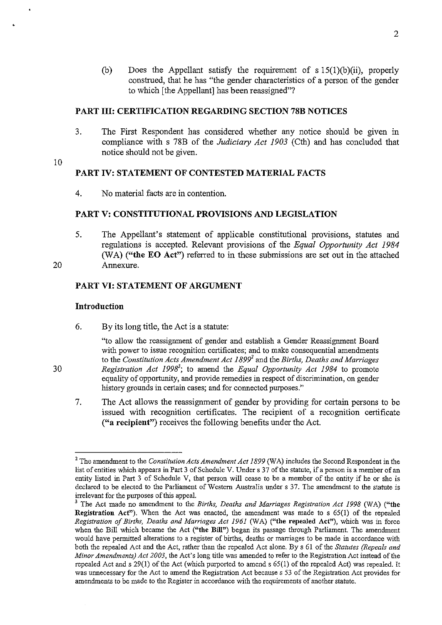(b) Does the Appellant satisfy the requirement of  $s 15(1)(b)(ii)$ , properly construed, that he has "the gender characteristics of a person of the gender to which [the Appellant] has been reassigned"?

#### PART III: CERTIFICATION REGARDING SECTION 78B NOTICES

3. The First Respondent has considered whether any notice should be given in compliance with s 78B of the *Judiciary Act 1903* (Cth) and has concluded that notice should not be given.

# 10

#### PART IV: STATEMENT OF CONTESTED MATERIAL FACTS

4. No material facts are in contention.

#### PART V: CONSTITUTIONAL PROVISIONS AND LEGISLATION

5. The Appellant's statement of applicable constitutional provisions, statutes and regulations is accepted. Relevant provisions of the *Equal Opportunity Act 1984 (WA)* ("the EO Act") referred to in these submissions are set out in the attached Annexure.

20

30

#### PART VI: STATEMENT OF ARGUMENT

#### Introduction

6. By its long title, the Act is a statute:

> "to allow the reassignment of gender and establish a Gender Reassignment Board with power to issue recognition certificates; and to make consequential amendments to the *Constitution Acts Amendment Act 1899*<sup>2</sup> and the *Births, Deaths and Marriages Registration Act* 1998'; to amend the *Equal Opportunity Act* 1984 to promote equality of opportunity, and provide remedies in respect of discrimination, on gender history grounds in certain cases; and for connected purposes."

7. The Act allows the reassignment of gender by providing for certain persons to be issued with recognition certificates. The recipient of a recognition certificate ("a recipient") receives the following benefits under the Act.

<sup>2</sup> The amendment to the *Constitution Acts Amendment Act* 1899 (W A) includes the Second Respondent in the list of entities which appears in Part 3 of Schedule V. Under s 37 of the statute, if a person is a member of an entity listed in Part 3 of Schedule V, that person will cease to be a member of the entity if he or she is declared to be elected to the Parliament of Western Australia under s 37. The amendment to the statute is irrelevant for the purposes of this appeal.

<sup>&</sup>lt;sup>3</sup> The Act made no amendment to the *Births, Deaths and Marriages Registration Act 1998* (WA) ("the Registration Act"). When the Act was enacted, the amendment was made to s 65(1) of the repealed *Registration of Births, Deaths and Marriages Act* 1961 (WA) ("the repealed Act"), which was in force when the Bill which became the Act ("the Bill") began its passage through Parliament. The amendment would have permitted alterations to a register of births, deaths or marriages to be made in accordance with both the repealed Act and the Act, rather than the repealed Act alone. By s 61 of the *Statutes (Repeals and Minor Amendments) Act 2003,* the Act's long title was amended to refer to the Registration Act instead of the repealed Act and s  $29(1)$  of the Act (which purported to amend s  $65(1)$  of the repealed Act) was repealed. It was unnecessary for the Act to amend the Registration Act because s 53 of the Registration Act provides for amendments **to** be made **to** the Register in accordance with the requirements of another statute.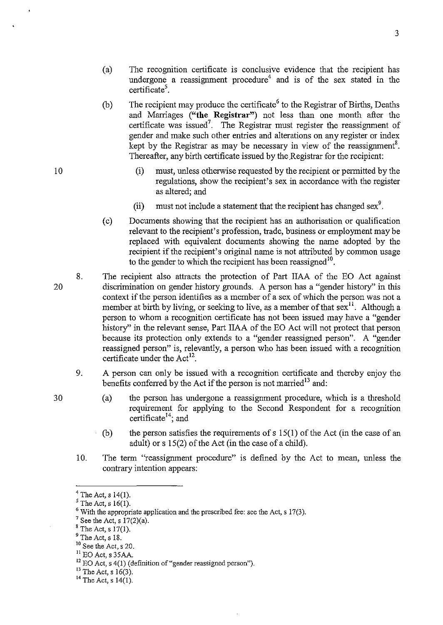- (a) The recognition certificate is conclusive evidence that the recipient has undergone a reassignment procedure<sup>4</sup> and is of the sex stated in the  $c$ ertificate<sup>5</sup>.
- (b) The recipient may produce the certificate<sup>6</sup> to the Registrar of Births, Deaths and Marriages **("the Registrar")** not less than one month after the certificate was issued<sup>7</sup>. The Registrar must register the reassignment of gender and make such other entries and alterations on any register or index kept by the Registrar as may be necessary in view of the reassignment<sup>8</sup>. Thereafter, any birth certificate issued by the Registrar for the recipient:
	- (i) must, unless otherwise requested by the recipient or permitted by the regulations, show the recipient's sex in accordance with the register as altered; and
	- (ii) must not include a statement that the recipient has changed sex<sup>9</sup>.
- ( c) Documents showing that the recipient has an authorisation or qualification relevant to the recipient's profession, trade, business or employment may be replaced with equivalent documents showing the name adopted by the recipient if the recipient's original name is not attributed by common usage to the gender to which the recipient has been reassigned<sup>10</sup>.
- 20 8. The recipient also attracts the protection of Part IIAA of the EO Act against discrimination on gender history grounds. A person has a "gender history" in this context if the person identifies as a member of a sex of which the person was not a member at birth by living, or seeking to live, as a member of that sex<sup>11</sup>. Although a person to whom a recognition certificate has not been issued may have a "gender history" in the relevant sense, Part IIAA of the EO Act will not protect that person because its protection only extends to a "gender reassigned person". A "gender reassigned person" is, relevantly, a person who has been issued with a recognition certificate under the  $Act^{12}$ .
	- 9. A person can only be issued with a recognition certificate and thereby enjoy the benefits conferred by the Act if the person is not married<sup>13</sup> and:
		- (a) the person has undergone a reassignment procedure, which is a threshold requirement for applying to the Second Respondent for a recognition certificate<sup>14</sup>; and
		- (b) the person satisfies the requirements of s 15(1) of the Act (in the case of an adult) or s 15(2) of the Act (in the case of a child).
	- 10. The term "reassignment procedure" is defined by the Act to mean, unless the contrary intention appears:

 $11$  EO Act, s 35AA.

 $^{13}$  The Act, s 16(3).

 $<sup>4</sup>$  The Act, s 14(1).</sup>

 $<sup>5</sup>$  The Act, s 16(1).</sup>

 $6$  With the appropriate application and the prescribed fee: see the Act, s 17(3).

 $7$  See the Act, s  $17(2)(a)$ .

 $8$  The Act, s 17(1).

<sup>9</sup> The Act, s 18.

 $10$  See the Act, s 20.

<sup>&</sup>lt;sup>12</sup> EO Act, s 4(1) (definition of "gender reassigned person").

<sup>&</sup>lt;sup>14</sup> The Act, s  $14(1)$ .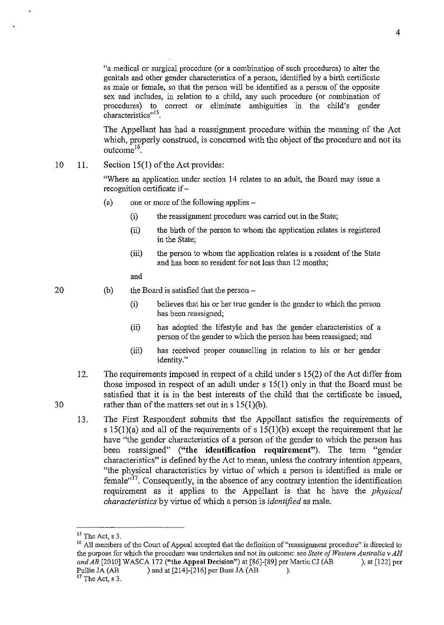"a medical or surgical procedure (or a combination of such procedures) to alter the genitals and other gender characteristics of a person, identified by a birth certificate as male or female, so that the person will be identified as a person of the opposite sex and includes, in relation to a child, any such procedure (or combination of procedures) to correct or eliminate ambiguities in the child's gender characteristics"<sup>15</sup>.

The Appellant has had a reassignment procedure within the meaning of the Act which, properly construed, is concerned with the object of the procedure and not its outcom $e^{16}$ 

#### 10 11. Section 15(1) of the Act provides:

"Where an application under section 14 relates to an adult, the Board may issue a recognition certificate if -

- (a) one or more of the following applies-
	- (i) the reassigmnent procedure was carried out in the State;
	- (ii) the birth of the person to whom the application relates is registered in the State;
	- (iii) the person to whom the application relates is a resident of the State and has been so resident for not less than 12 months;

and

20

30

(b) the Board is satisfied that the person  $-$ 

- (i) believes that his or her true gender is the gender to which the person has been reassigned;
- (ii) has adopted the lifestyle and has the gender characteristics of a person of the gender to which the person has been reassigned; and
- (iii) has received proper counselling in relation to his or her gender identity."
- 12. The requirements imposed in respect of a child under s 15(2) of the Act differ from those imposed in respect of an adult under s 15(1) only in that the Board must be satisfied that it is in the best interests of the child that the certificate be issued, rather than of the matters set out in s 15(1)(b).
- 13. The First Respondent submits that the Appellant satisfies the requirements of s  $15(1)(a)$  and all of the requirements of s  $15(1)(b)$  except the requirement that he have "the gender characteristics of a person of the gender to which the person has been reassigned" ("the identification requirement"). The term "gender characteristics" is defined by the Act to mean, unless the contrary intention appears, "the physical characteristics by virtue of which a person is identified as male or  $f{emale}^{177}$ . Consequently, in the absence of any contrary intention the identification requirement as it applies to the Appellant is that he have the *physical characteristics* by virtue of which a person is *identified* as male.

 $15$  The Act, s 3.

<sup>&</sup>lt;sup>16</sup> All members of the Court of Appeal accepted that the definition of "reassignment procedure" is directed to the purpose for which the procedure was undertaken and not its outcome: see *State of Western Australia* v *AH*  and AB [2010] WASCA 172 ("the Appeal Decision") at [86]-[89] per Martin CJ (AB ), at [122] per Pullin JA (AB ) and at [214]-[216] per Buss JA (AB ).

**<sup>17</sup> The Act, s 3.**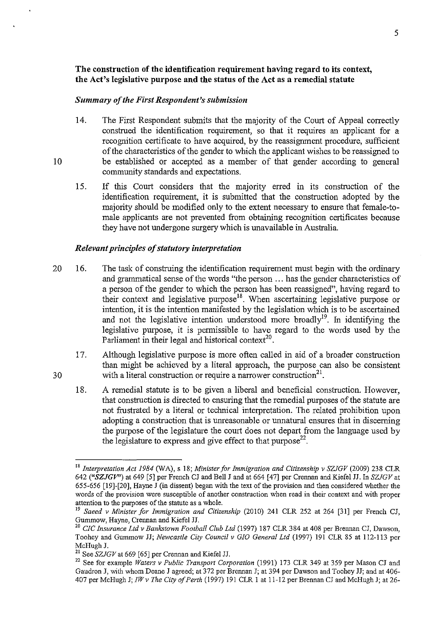# The construction of the identification requirement having regard to its context, the Act's legislative purpose and the status of the Act as a remedial statute

### *Summary of the First Respondent's submission*

- 14. The First Respondent submits that the majority of the Court of Appeal correctly construed the identification requirement, so that it requires an applicant for a recognition certificate to have acquired, by the reassignment procedure, sufficient of the characteristics of the gender to which the applicant wishes to be reassigned to be established or accepted as a member of that gender according to general community standards and expectations.
- 15. If this Court considers that the majority erred in its construction of the identification requirement, it is submitted that the construction adopted by the majority should be modified only to the extent necessary to ensure that female-tomale applicants are not prevented from obtaining recognition certificates because they have not undergone surgery which is unavailable in Australia.

#### *Relevant principles of statutory interpretation*

- 20 16. The task of construing the identification requirement must begin with the ordinary and grammatical sense of the words "the person ... has the gender characteristics of a person of the gender to which the person has been reassigned", having regard to their context and legislative purpose1S. When ascertaining legislative purpose or intention, it is the intention manifested by the legislation which is to be ascertained and not the legislative intention understood more broadly<sup>19</sup>. In identifying the legislative purpose, it is permissible to have regard to the words used by the Parliament in their legal and historical context<sup>20</sup>.
	- 17. Although legislative purpose is more often called in aid of a broader construction than might be achieved by a literal approach, the purpose can also be consistent with a literal construction or require a narrower construction $2<sup>1</sup>$ .
	- 18. A remedial statute is to be given a liberal and beneficial construction. However, that construction is directed to ensuring that the remedial purposes of the statute are not frustrated by a literal or technical interpretation. The related prohibition upon adopting a construction that is unreasonable or unnatural ensures that in discerning the purpose of the legislature the court does not depart from the language used by the legislature to express and give effect to that  $\text{purpose}^{22}$ .

30

IS *Interpretation Act* 1984 *(WA),* s 18; *Minister for Immigration and Citizenship v SZlGV* (2009) 238 CLR 642 ("SZJGV") at 649 [5] per French CJ and Bell J and at 664 [47] per Crennan and Kiefel JJ. In SZJGV at 655-656 [19]-[20], Hayne J (in dissent) began with the text of the provision and then considered whether the words of the provision were susceptible of another construction when read in their context and with proper attention to the purposes of the statute as a whole.

<sup>&</sup>lt;sup>19</sup> Saeed v Minister for Immigration and Citizenship (2010) 241 CLR 252 at 264 [31] per French CJ, Gummow, Hayne, Crennan and Kiefel H.

<sup>20</sup>*CIC Insurance Ltd v Bankstown Football Club Ltd* (1997) 187 CLR 384 at 408 per Brennan CJ, Dawson, Toohey and Gummow JJ; *Newcastle City Council v GIO General Ltd* (1997) 191 CLR 85 at 112-113 per McHugh J.<br><sup>21</sup> See SZJGV at 669 [65] per Crennan and Kiefel JJ.

<sup>&</sup>lt;sup>22</sup> See for example *Waters v Public Transport Corporation* (1991) 173 CLR 349 at 359 per Mason CJ and Gaudron J, with whom Deane J agreed; at 372 per Brennan J; at 394 per Dawson and Toohey JJ; and at 406-407 per McHugh J; *IWv The City of Perth* (1997) 191 CLR I at 11-12 per Brennan CJ and McHugh J; at 26-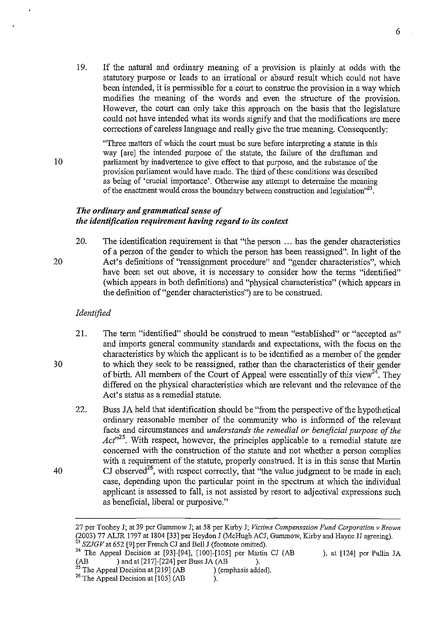19. If the natural and ordinary meaning of a provision is plainly at odds with the statutory purpose or leads to an irrational or absurd result which could not have been intended, it is permissible for a court to construe the provision in a way which modifies the meaning of the words and even the structure of the provision. However, the court can only take this approach on the basis that the legislature could not have intended what its words signify and that the modifications are mere corrections of careless language and really give the true meaning. Consequently:

"Three matters of which the court must be sure before interpreting a statute in this way [are] the intended purpose of the statute, the failure of the draftsman and parliament by inadvertence to give effect to that purpose, and the substance of the provision parliament would have made. The third of these conditions was described as being of 'crucial importance'. Otherwise any attempt to determine the meaning of the enactment would cross the boundary between construction and legislation<sup> $2^{23}$ </sup>.

#### *The ordinary and grammatical sense of the identification requirement having regard to its context*

20. The identification requirement is that "the person ... has the gender characteristics of a person of the gender to which the person has been reassigned". In light of the Act's definitions of "reassignment procedure" and "gender characteristics", which have been set out above, it is necessary to consider how the terms "identified" (which appears in both definitions) and "physical characteristics" (which appears in the definition of "gender characteristics") are to be construed.

#### *Identified*

10

20

30

- 21. The term "identified" should be construed to mean "established" or "accepted as" and imports general community standards and expectations, with the focus on the characteristics by which the applicant is to be identified as a member of the gender to which they seek to be reassigned, rather than the characteristics of their gender of birth. All members of the Court of Appeal were essentially of this view<sup>24</sup>. They differed on the physical characteristics which are relevant and the relevance of the Act's status as a remedial statute.
- 22. Buss JA held that identification should be "from the perspective of the hypothetical ordinary reasonable member of the community who is infonned of the relevant facts and circumstances and *understands the remedial or beneficial purpose of the*  Act<sup>-25</sup>. With respect, however, the principles applicable to a remedial statute are concerned with the construction of the statute and not whether a person complies with a requirement of the statute, properly construed. It is in this sense that Martin CJ observed<sup>26</sup>, with respect correctly, that "the value judgment to be made in each case, depending upon the particular point in the spectrum at which the individual applicant is assessed to fall, is not assisted by resort to adjectival expressions such as beneficial, liberal or purposive."

<sup>27</sup> per Toohey J; at 39 per Gummow J; at 58 per Kirby J; *Victims Compensation Fund Corporation v Brown*  (2003) 77 ALJR 1797 at 1804 [33] per Heydon J (McHugh ACJ, Gununow, Kirby and Hayne JJ agreeing). *23 SZJGV* at 652 [9] per French CJ and Bell J (footnote omitted).

<sup>&</sup>lt;sup>24</sup> The Appeal Decision at [93]-[94], [100]-[105] per Martin CJ (AB ), at [124] per Pullin JA (AB ) and at [217]-[224] per Buss JA (AB ).  $(AB \t)$  and at [217]-[224] per Buss JA  $(AB \t)$ .

<sup>&</sup>lt;sup>25</sup> The Appeal Decision at [219]  $(AB)$  (emphasis added).

 $26$  The Appeal Decision at [105] (AB ).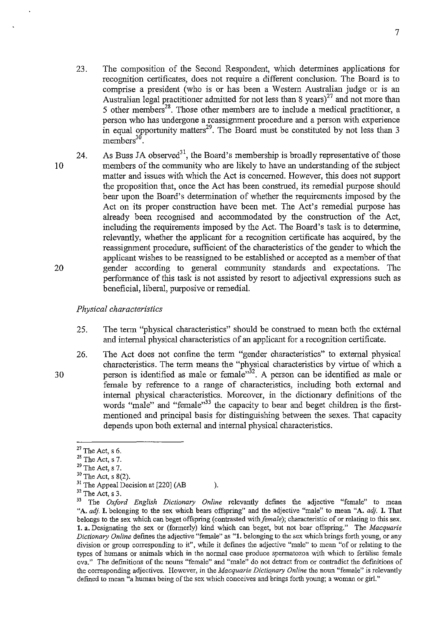- 23. The composition of the Second Respondent, which detennines applications for recognition certificates, does not require a different conclusion. The Board is to comprise a president (who is or has been a Western Australian judge or is an Australian legal practitioner admitted for not less than 8 years)<sup>27</sup> and not more than 5 other members<sup>28</sup>. Those other members are to include a medical practitioner, a person who has undergone a reassigmnent procedure and a person with experience in equal opportunity matters<sup>29</sup>. The Board must be constituted by not less than 3  $members<sup>30</sup>$
- 10 20 24. As Buss JA observed<sup>31</sup>, the Board's membership is broadly representative of those members of the community who are likely to have an understanding of the subject matter and issues with which the Act is concerned. However, this does not support the proposition that, once the Act has been construed, its remedial purpose should bear upon the Board's detennination of whether the requirements imposed by the Act on its proper construction have been met. The Act's remedial purpose has already been recognised and accommodated by the construction of the Act, including the requirements imposed by the Act. The Board's task is to detennine, relevantly, whether the applicant for a recognition certificate has acquired, by the reassigmnent procedure, sufficient of the characteristics of the gender to which the applicant wishes to be reassigned to be established or accepted as a member of that gender according to general community standards and expectations. The perfonnance of this task is not assisted by resort to adjectival expressions such as beneficial, liberal, purposive or remedial.

### *Physical characteristics*

- 25. The term "physical characteristics" should be construed to mean both the external and internal physical characteristics of an applicant for a recognition certificate.
- 26. The Act does not confine the tenn "gender characteristics" to external physical characteristics. The term means the "physical characteristics by virtue of which a person is identified as male or female<sup>352</sup>. A person can be identified as male or female by reference to a range of characteristics, including both external and internal physical characteristics. Moreover, in the dictionary definitions of the words "male" and "female"<sup>33</sup> the capacity to bear and beget children is the firstmentioned and principal basis for distinguishing between the sexes. That capacity depends upon both external and internal physical characteristics.

 $27$  The Act, s 6.

 $28$  The Act, s 7.

 $29$  The Act, s 7.

 $30$  The Act, s  $8(2)$ .

 $31$  The Appeal Decision at [220] (AB ).

 $32$  The Act, s 3.

<sup>&</sup>lt;sup>33</sup> The *Oxford English Dictionary Online* relevantly defines the adjective "female" to mean "A. *ad}.* I. belonging to the sex which bears offspring" and the adjective "male" to mean "A. *ad}.* I. That belongs to the sex which can beget offspring (contrasted with *female*); characteristic of or relating to this sex. 1. a. Designating the sex or (formerly) kind which can beget, but not bear offspring." The *Macquarie Dictionary Online* defmes the adjective "female" as "1. belonging to the sex which brings forth young, or any **division or group corresponding to it", while it defines the adjective "male" to mean "of or relating to the**  types of humans or animals which in the normal case produce spermatozoa with which to fertilise female ova." The definitions of the nouns "female" and "male" do not detract from or contradict the defmitions of **the corresponding adjectives. However, in the** *Macquarie Dictio,nary Online* **the noun "female" is relevantly defined to mean "a human being** of the **sex which conceives and brings forth young; a woman or girl."**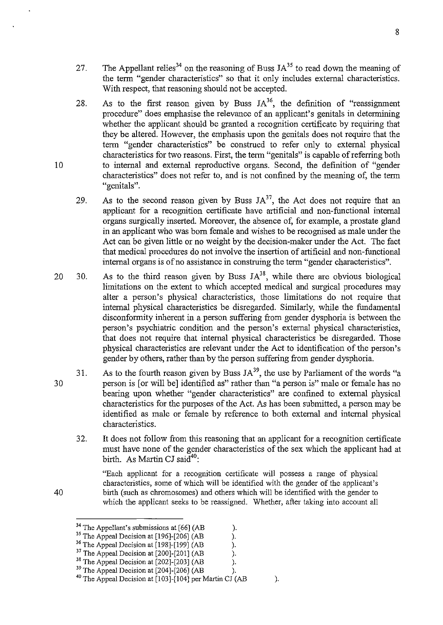- 27. The Appellant relies<sup>34</sup> on the reasoning of Buss  $JA^{35}$  to read down the meaning of the term "gender characteristics" so that it only includes external characteristics. With respect, that reasoning should not be accepted.
- 28. As to the first reason given by Buss  $JA^{36}$ , the definition of "reassignment" procedure" does emphasise the relevance of an applicant's genitals in determining whether the applicant should be granted a recognition certificate by requiring that they be altered. However, the emphasis upon the genitals does not require that the term "gender characteristics" be construed to refer only to external physical characteristics for two reasons. First, the term "genitals" is capable of referring both to internal and external reproductive organs. Second, the definition of "gender characteristics" does not refer to, and is not confined by the meaning of, the term "genitals".
- 29. As to the second reason given by Buss  $JA^{37}$ , the Act does not require that an applicant for a recognition certificate have artificial and non-functional internal organs surgically inserted. Moreover, the absence of, for example, a prostate gland in an applicant who was born female and wishes to be recognised as male under the Act can be given little or no weight by the decision-maker under the Act. The fact that medical procedures do not involve the insertion of artificial and non-functional internal organs is of no assistance in construing the term "gender characteristics".
- 20 30. As to the third reason given by Buss  $JA^{38}$ , while there are obvious biological limitations on the extent to which accepted medical and surgical procedures may alter a person's physical characteristics, those limitations do not require that internal physical characteristics be disregarded. Similarly, while the fundamental disconformity inherent in a person suffering from gender dysphoria is between the person's psychiatric condition and the person's external physical characteristics, that does not require that internal physical characteristics be disregarded. Those physical characteristics are relevant under the Act to identification of the person's gender by others, rather than by the person suffering from gender dysphoria.
- 30 31. As to the fourth reason given by Buss  $JA^{39}$ , the use by Parliament of the words "a person is [or will bel identified as" rather than "a person is" male or female has no bearing upon whether "gender characteristics" are confined to external physical characteristics for the purposes of the Act. As has been submitted, a person may be identified as male or female by reference to both external and internal physical characteristics.
	- 32. It does not follow from this reasoning that an applicant for a recognition certificate must have none of the gender characteristics of the sex which the applicant had at birth. As Martin CJ said<sup>40</sup>:

"Each applicant for a recognition certificate wiJI possess a range of physical characteristics, some of which will be identified with the gender of the applicant's birth (such as chromosomes) and others which will be identified with the gender to which the applicant seeks to be reassigned. Whether, after taking into account all

- <sup>37</sup> The Appeal Decision at  $[200]$ - $[201]$  (AB ).<br><sup>38</sup> The Appeal Decision at  $[202]$ - $[203]$  (AB ).
- <sup>38</sup> The Appeal Decision at [202]-[203] (AB  $39$  The Appeal Decision at [204]-[206] (AB ).

10

<sup>&</sup>lt;sup>34</sup> The Appellant's submissions at [66] (AB <sup>35</sup> The Appeal Decision at [196]-[206] (AB <sup>36</sup> The Appeal Decision at [200]-[201] (AB ).<br><sup>37</sup> The Appeal Decision at [200]-[201] (AB ).  $35$  The Appeal Decision at [196]-[206] (AB

<sup>&</sup>lt;sup>36</sup> The Appeal Decision at [198]-[199] (AB

<sup>&</sup>lt;sup>40</sup> The Appeal Decision at  $[103]-[104]$  per Martin CJ (AB ).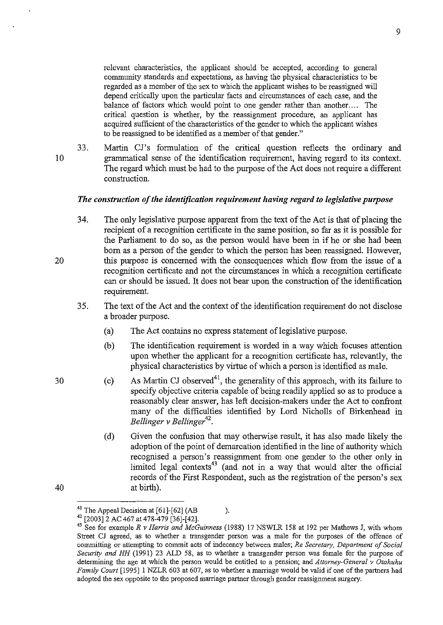relevant characteristics, the applicant should be accepted, according to general community standards and expectations, as having the physical characteristics to be regarded as a member of the sex to which the applicant wishes to be reassigned will depend critically upon the particular facts and circumstances of each case, and the balance of factors which would point to one gender rather than another.... The critical question is whether, by the reassignment procedure, an applicant has acquired sufficient of the characteristics of the gender to which the applicant wishes to be reassigned to be identified as a member of that gender."

33. Martin CJ's formnlation of the critical question reflects the ordinary and grammatical sense of the identification requirement, having regard to its context. The regard which must be had to the purpose of the Act does not require a different construction.

#### *The construction of the identification requirement having regard to legislative purpose*

- 34. The only legislative purpose apparent from the text of the Act is that of placing the recipient of a recognition certificate in the same position, so far as it is possible for the Parliament to do so, as the person would have been in if he or she had been born as a person of the gender to which the person has been reassigned. However, this purpose is concerned with the consequences which flow from the issue of a recognition certificate and not the circumstances in which a recognition certificate can or should be issued. It does not bear upon the construction of the identification requirement.
	- 35. The text of the Act and the context of the identification requirement do not disclose a broader purpose.
		- (a) The Act contains no express statement of legislative purpose.
		- (b) The identification requirement is worded in a way which focuses attention upon whether the applicant for a recognition certificate has, relevantly, the physical characteristics by virtue of which a person is identified as male.
		- (c) As Martin CJ observed<sup>41</sup>, the generality of this approach, with its failure to specify objective criteria capable of being readily applied so as to produce a reasonably clear answer, has left decision-makers under the Act to confront many of the difficulties identified by Lord Nicholls of Birkenhead in *Bellinger v Bellinger*<sup>42</sup>.
			- (d) Given the confusion that may otherwise result, it has also made likely the adoption of the point of demarcation identified in the line of authority which recognised a person's reassignment from one gender to the other only in limited legal contexts<sup>43</sup> (and not in a way that would alter the official records of the First Respondent, such as the registration of the person's sex at birth).

10

20

30

<sup>&</sup>lt;sup>41</sup> The Appeal Decision at  $[61]$ - $[62]$  (AB ).

<sup>42 [2003]2</sup> AC 467 at 478-479 [36]-[42].

<sup>43</sup> See for example *R v Harris and McGuinness* (1988) 17 NSWLR 158 at 192 per Mathews J, with whom Street CJ agreed, as to whether a transgender person was a male for the purposes of the offence of **committing or attempting to commit acts of indecency between males;** *Re Secretary, Department of Social Security and HH* (1991) 23 ALD 58, as to whether a transgender person was female for the purpose of determining the age at which the person would be entitled to a pension; and *Attorney-General v Otahuhu Family Court* [1995] 1 NZLR 603 at 607, as to whether a marriage would be valid if one of the partners had adopted the sex opposite to the proposed marriage partner through gender reassignment surgery.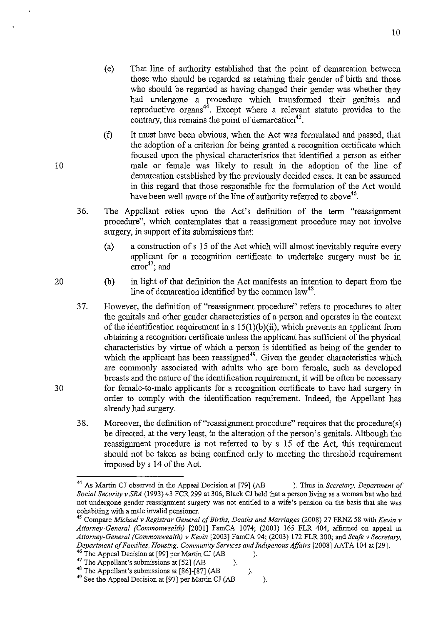- ( e) That line of authority established that the point of demarcation between those who should be regarded as retaining their gender of birth and those who should be regarded as having changed their gender was whether they had undergone a procedure which transformed their genitals and reproductive organs<sup> $44$ </sup>. Except where a relevant statute provides to the contrary, this remains the point of demarcation  $45$ .
- (t) It must have been obvious, when the Act was formulated and passed, that the adoption of a criterion for being granted a recognition certificate which focused upon the physical characteristics that identified a person as either male or female was likely to result in the adoption of the line of demarcation established by the previously decided cases. It can be assumed in this regard that those responsible for the formulation of the Act would have been well aware of the line of authority referred to above<sup>46</sup>.
- 36. The Appellant relies upon the Act's definition of the term "reassignment procedure", which contemplates that a reassignment procedure may not involve surgery, in support of its submissions that:
	- (a) a construction of s 15 of the Act which will almost inevitably require every applicant for a recognition certificate to undertake surgery must be in  $error<sup>47</sup>$ ; and
	- (b) in light of that defmition the Act manifests an intention to depart from the line of demarcation identified by the common  $law<sup>48</sup>$ .
- 37. However, the definition of "reassignment procedure" refers to procedures to alter the genitals and other gender characteristics of a person and operates in the context of the identification requirement in s 15(1)(b )(ii), which prevents an applicant from obtaining a recognition certificate unless the applicant has sufficient of the physical characteristics by virtue of which a person is identified as being of the gender to which the applicant has been reassigned<sup>49</sup>. Given the gender characteristics which are commonly associated with adults who are born female, such as developed breasts and the nature of the identification requirement, it will be often be necessary for female-to-male applicants for a recognition certificate to have had surgery in order to comply with the identification requirement. Indeed, the Appellant has already had surgery.
- 38. Moreover, the definition of "reassignment procedure" requires that the procedure(s) be directed, at the very least, to the alteration of the person's genitals. Although the reassignment procedure is not referred to by s 15 of the Act, this requirement should not be taken as being confined only to meeting the threshold requirement imposed by s 14 of the Act.

<sup>46</sup> The Appel Decision at [99] per Martin CI (AB 
$$
^{47}
$$
 T1  $^{47}$  T1  $^{47}$  T1  $^{48}$  T1  $^{49}$  T1  $^{49}$  T1  $^{49}$  T1  $^{49}$  T1  $^{49}$  T1  $^{49}$  T1  $^{49}$  T1  $^{49}$  T1  $^{49}$  T1  $^{49}$  T1  $^{49}$  T1  $^{49}$  T1  $^{49}$  T1  $^{49}$  T1  $^{49}$  T1  $^{49}$  T1  $^{49}$  T1  $^{49}$  T1  $^{49}$  T1  $^{49}$  T1  $^{49}$  T1  $^{49}$  T1  $^{49}$  T1  $^{49}$  T1  $^{49}$  T1  $^{49}$  T1  $^{49}$  T1  $^{49}$  T1  $^{49}$  T1  $^{49}$  T1  $^{49}$  T1  $^{49}$  T1  $^{49}$  T1  $^{49}$  T1  $^{49}$  T1  $^{49}$  T1  $^{49}$  T1  $^{49}$  T1  $^{49}$  T1  $^{49}$  T1  $^{49}$  T1  $^{49}$  T1  $^{49}$  T1  $^{49}$  T1  $^{49}$  T1  $^{49}$  T1  $^{49}$  T1  $^{49}$  T1  $^{49}$  T1 <

<sup>49</sup> See the Appeal Decision at [97] per Martin CJ (AB ).

10

20

<sup>44</sup> As Martin CJ observed in tbe Appeal Decision at [79] (AB ). Thus in *Secretary, Department of Social Security v SRA* (1993) 43 FCR 299 at 306, Black CJ held tbat a person living as a woman but who had **not undergone gender reassignment surgery was not entitled to a wife's pension on the basis that she was cohabiting with a male invalid pensioner.** 

<sup>45</sup> Compare *Michael* v *Registrar General of Births, Deaths and Marriages* (2008) 27 FRNZ 58 with *Kevin* v *Attorney-General (Commonwealth)* [2001] FamCA 1074; (2001) 165 FLR 404, affIrmed on appeal in *Attorney-General (Commonwealth)* v *Kevin* [2003] FamCA 94; (2003) 172 FLR 300; and *Seafe* v *Secretary, Department of Families, Housing, Community Services and Indigenous Affairs* [2008] AATA 104 at [29].

The Appellant's submissions at [52] (AB ).

<sup>&</sup>lt;sup>48</sup> The Appellant's submissions at  $[86]$ - $[87]$  (AB ).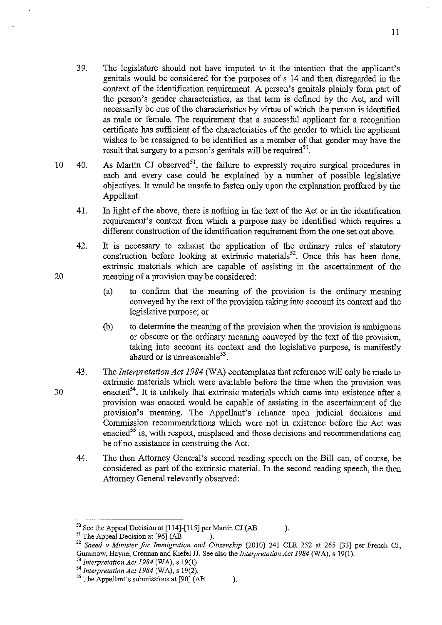- 39. The legislature should not have imputed to it the intention that the applicant's genitals would be considered for the purposes of s 14 and then disregarded in the context of the identification requirement. A person's genitals plainly form part of the person's gender characteristics, as that term is defined by the Act, and will necessarily be one of the characteristics by virtue of which the person is identified as male or female. The requirement that a successful applicant for a recognition certificate has sufficient of the characteristics of the gender to which the applicant wishes to be reassigned to be identified as a member of that gender may have the result that surgery to a person's genitals will be required<sup>50</sup>.
- 10 40. As Martin CJ observed<sup>51</sup>, the failure to expressly require surgical procedures in each and every case could be explained by a number of possible legislative objectives. It would be unsafe to fasten only upon the explanation proffered by the Appellant.
	- 41. In light of the above, there is nothing in the text of the Act or in the identification requirement's context from which a purpose may be identified which requires a different construction of the identification requirement from the one set out above.
	- 42. It is necessary to exhaust the application of the ordinary rules of statutory construction before looking at extrinsic materials<sup>52</sup>. Once this has been done, extrinsic materials which are capable of assisting in the ascertaimnent of the meaning of a provision may be considered:
		- (a) to confirm that the meaning of the provision is the ordinary meaning conveyed by the text of the provision taking into account its context and the legislative purpose; or
		- (b) to determine the meaning of the provision when the provision is ambiguous or obscure or the ordinary meaning conveyed by the text of the provision, taking into account its context and the legislative purpose, is manifestly absurd or is unreasonable $53$ .
	- 43. The *Interpretation Act 1984* (WA) contemplates that reference will only be made to extrinsic materials which were available before the time when the provision was enacted<sup>54</sup>. It is unlikely that extrinsic materials which came into existence after a provision was enacted would be capable of assisting in the ascertaimnent of the provision's meaning. The Appellant's reliance upon judicial decisions and Commission recommendations which were not in existence before the Act was enacted<sup>55</sup> is, with respect, misplaced and those decisions and recommendations can be of no assistance in construing the Act.
	- 44. The then Attorney General's second reading speech on the Bill can, of course, be considered as part of the extrinsic material. In the second reading speech, the then Attorney General relevantly observed:

20

<sup>&</sup>lt;sup>50</sup> See the Appeal Decision at [114]-[115] per Martin CJ (AB ).<br><sup>51</sup> The Appeal Decision at [96] (AB ).

<sup>&</sup>lt;sup>51</sup> The Appeal Decision at [96]  $(AB)$ .

<sup>&</sup>lt;sup>52</sup> Saeed v Minister for Immigration and Citizenship (2010) 241 CLR 252 at 265 [33] per French CJ, Gummow, Hayne, Crennan and Kiefel JJ. See also the *Interpretation Act* 1984 (WA), s 19(1).

<sup>53</sup>*Interpretation Act* 1984 (WA), s 19(1).

<sup>&</sup>lt;sup>54</sup> Interpretation Act 1984 (WA), s 19(2).

<sup>&</sup>lt;sup>55</sup> The Appellant's submissions at [90] (AB ).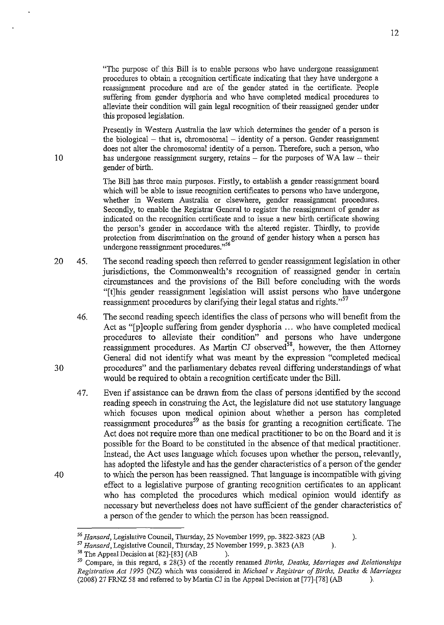"The purpose of this Bill is to enable persons who have undergone reassignment procedures to obtain a recognition certificate indicating that they have undergone a reassignment procedure and are of the gender stated in the certificate. People suffering from gender dysphoria and who have completed medical procedures to alleviate their condition will gain legal recognition of their reassigned gender under this proposed legislation.

Presently in Western Australia the law which determines the gender of a person is the biological  $-$  that is, chromosomal  $-$  identity of a person. Gender reassignment does not alter the chromosomal identity of a person. Therefore, such a person, who has undergone reassignment surgery, retains  $-$  for the purposes of WA law  $-$  their gender of birth.

The Bill has three main purposes. Firstly, to establish a gender reassignment board which will be able to issue recognition certificates to persons who have undergone, whether in Western Australia or elsewhere, gender reassignment procedures. Secondly, to enable the Registrar General to register the reassignment of gender as indicated on the recognition certificate and to issue a new birth certificate showing the person's gender in accordance with the altered register. Thirdly, to provide protection from discrimination on the ground of gender history when a person has undergone reassignment procedures."<sup>56</sup>

- 20 45. The second reading speech then referred to gender reassignment legislation in other jurisdictions, the Commonwealth's recognition of reassigned gender in certain circumstances and the provisions of the Bill before concluding with the words "[tJhis gender reassignment legislation will assist persons who have undergone reassignment procedures by clarifying their legal status and rights."<sup>57</sup>
	- 46. The second reading speech identifies the class of persons who will benefit from the Act as "[p]eople suffering from gender dysphoria ... who have completed medical procedures to alleviate their condition" and persons who have undergone reassignment procedures. As Martin CJ observed<sup>58</sup>, however, the then Attorney General did not identify what was meant by the expression "completed medical procedures" and the parliamentary debates reveal differing understandings of what would be required to obtain a recognition certificate under the Bill.
	- 47. Even if assistance can be drawn from the class of persons identified by the second reading speech in construing the Act, the legislature did not use statutory language which focuses upon medical opinion about whether a person has completed reassignment procedures<sup>59</sup> as the basis for granting a recognition certificate. The Act does not require more than one medical practitioner to be on the Board and it is possible for the Board to be constituted in the absence of that medical practitioner. Instead, the Act uses language which focuses upon whether the person, relevantly, has adopted the lifestyle and has the gender characteristics of a person of the gender to which the person has been reassigned. That language is incompatible with giving effect to a legislative purpose of granting recognition certificates to an applicant who has completed the procedures which medical opinion would identify as necessary but nevertheless does not have sufficient of the gender characteristics of a person of the gender to which the person has been reassigned.

30

<sup>&</sup>lt;sup>56</sup> Hansard, Legislative Council, Thursday, 25 November 1999, pp. 3822-3823 (AB ).

<sup>57</sup>*Hansard,* Legislative Council, Thursday, 25 November 1999, p. 3823 (AB ).

 $58$  The Appeal Decision at [82]-[83] (AB ).

<sup>&</sup>lt;sup>59</sup> Compare, in this regard, s 28(3) of the recently renamed *Births, Deaths, Marriages and Relationships Registration Act* 1995 (NZ) which was considered in *Michael* v *Registrar of Births, Deaths* & *Marriages*  (2008) 27 FRNZ 58 and referred to by Martin CJ in the Appeal Decision at [77]-[78] (AB ).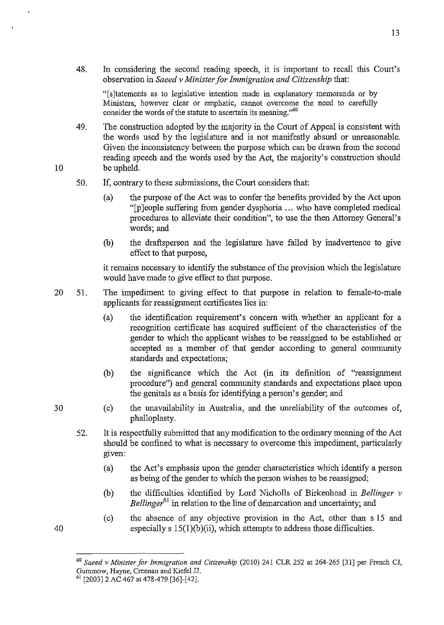48. In considering the second reading speech, it is important to recall this Court's observation in *Saeed* v *Minister for Immigration and Citizenship* that:

"[s]tatements as to legislative intention made in explanatory memoranda or by Ministers, however clear or emphatic, cannot overcome the need to carefully consider the words of the statute to ascertain its meaning."<sup>60</sup>

- 49. The construction adopted by the majority in the Court of Appeal is consistent with the words used by the legislature and is not manifestly absurd or unreasonable. Given the inconsistency between the purpose which can be drawn from the second reading speech and the words used by the Act, the majority's construction should be upheld.
- 50. If, contrary to these submissions, the Court considers that:
	- (a) the purpose of the Act was to confer the benefits provided by the Act upon "[p ]eople suffering from gender dysphoria ... who have completed medical procedures to alleviate their condition", to use the then Attorney General's words; and
	- (b) the draftsperson and the legislature have failed by inadvertence to give effect to that purpose,

it remains necessary to identify the substance of the provision which the legislature would have made to give effect to that purpose.

- 20 51. The impediment to giving effect to that purpose in relation to female-to-male applicants for reassigmnent certificates lies in:
	- (a) the identification requirement's concern with whether an applicant for a recognition certificate has acquired sufficient of the characteristics of the gender to which the applicant wishes to be reassigned to be established or accepted as a member of that gender according to general community standards and expectations;
	- (b) the significance which the Act (in its definition of "reassigmnent procedure") and general community standards and expectations place upon the genitals as a basis for identifying a person's gender; and
	- (c) the unavailability in Australia, and the unreliability of the outcomes of, phalloplasty.
	- 52. It is respectfully submitted that any modification to the ordinary meaning of the Act should be confined to what is necessary to overcome this impediment, particularly gIven:
		- (a) the Act's emphasis upon the gender characteristics which identify a person as being of the gender to which the person wishes to be reassigned;
		- (b) the difficulties identified by Lord Nicholls of Birkenhead in *Bellinger* v *Bellinger*<sup>61</sup> in relation to the line of demarcation and uncertainty; and
		- (c) the absence of any objective provision in the Act, other than s 15 and especially  $s 15(1)(b)(ii)$ , which attempts to address those difficulties.

30

40

<sup>60</sup>*Saeed* v *Minister for Immigration and Citizenship* (2010) 241 CLR 252 at 264-265 [31] per French CJ, Gummow, Hayne, Crennan and Kiefel JJ.

<sup>61 [2003]2</sup> AC 467 at 478-479 [36]-[42].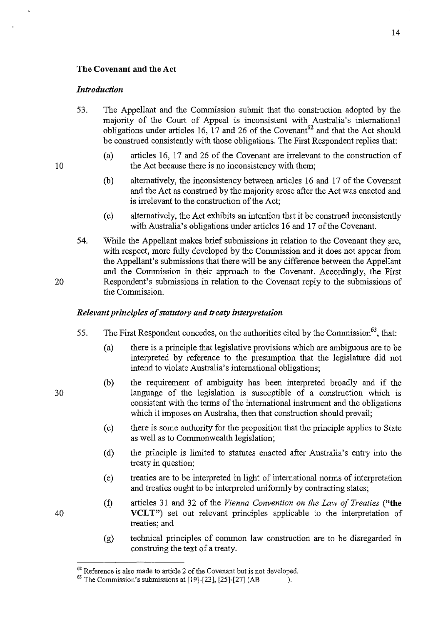#### The Covenant and the Act

#### *Introduction*

- 53. The Appellant and the Commission submit that the construction adopted by the majority of the Court of Appeal is inconsistent with Australia's international obligations under articles 16, 17 and 26 of the Covenant<sup>62</sup> and that the Act should be construed consistently with those obligations. The First Respondent replies that:
	- (a) articles 16, 17 and 26 of the Covenant are irrelevant to the construction of the Act because there is no inconsistency with them;
	- (b) alternatively, the inconsistency between articles 16 and 17 of the Covenant and the Act as construed by the majority arose after the Act was enacted and is irrelevant to the construction of the Act;
	- (c) alternatively, the Act exhibits an intention that it be construed inconsistently with Australia's obligations under articles 16 and 17 of the Covenant.
- 54. While the Appellant makes brief submissions in relation to the Covenant they are, with respect, more fully developed by the Commission and it does not appear from the Appellant's submissions that there will be any difference between the Appellant and the Commission in their approach to the Covenant. Accordingly, the First Respondent's submissions in relation to the Covenant reply to the submissions of the Commission.

#### *Relevant principles of statutory and treaty interpretation*

- 55. The First Respondent concedes, on the authorities cited by the Commission<sup>63</sup>, that:
	- (a) there is a principle that legislative provisions which are ambiguous are to be interpreted by reference to the presumption that the legislature did not intend to violate Australia's international obligations;
	- (b) the requirement of ambiguity has been interpreted broadly and if the language of the legislation is susceptible of a construction which is consistent with the terms of the international instrument and the obligations which it imposes on Australia, then that construction should prevail;
	- (c) there is some authority for the proposition that the principle applies to State as well as to Commonwealth legislation;
	- (d) the principle is limited to statutes enacted after Australia's entry into the treaty in question;
	- ( e) treaties are to be interpreted in light of international norms of interpretation and treaties ought to be interpreted uniformly by contracting states;
	- (t) articles 31 and 32 of the *Vienna Convention on the Law of Treaties* ("the VCLT") set out relevant principles applicable to the interpretation of treaties; and
	- (g) technical principles of common law construction are to be disregarded in construing the text of a treaty.

30

20

40

 $62$  Reference is also made to article 2 of the Covenant but is not developed.

 $63$  The Commission's submissions at [19]-[23], [25]-[27] (AB ).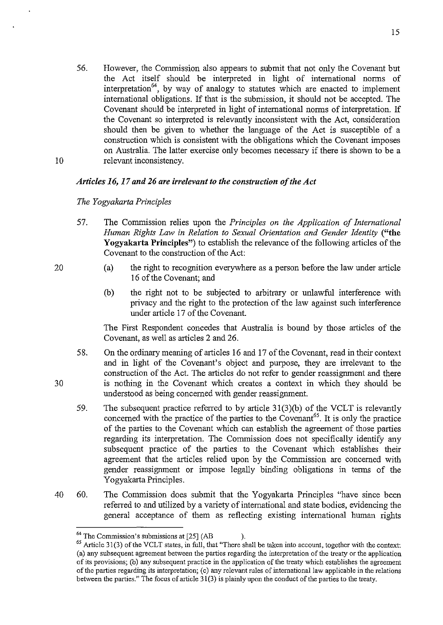56. However, the Commission also appears to submit that not only the Covenant but the Act itself should be interpreted in light of international norms of interpretation<sup>64</sup>, by way of analogy to statutes which are enacted to implement international obligations. If that is the submission, it should not be accepted. The Covenant should be interpreted in light of international norms of interpretation. If the Covenant so interpreted is relevantly inconsistent with the Act, consideration should then be given to whether the language of the Act is susceptible of a construction which is consistent with the obligations which the Covenant imposes on Australia. The latter exercise only becomes necessary if there is shown to be a relevant inconsistency.

#### *Articles* 16,17 *and* 26 *are irrelevant to the construction of the Act*

#### *The Yogyakarta Principles*

- 57. The Commission relies upon the *Principles on the Application of International Human Rights Law in Relation to Sexual Orientation and Gender Identity* ("the Yogyakarta Principles") to establish the relevance of the following articles of the Covenant to the construction of the Act:
	- (a) the right to recognition everywhere as a person before the law under article 16 of the Covenant; and
	- (b) the right not to be subjected to arbitrary or unlawful interference with privacy and the right to the protection of the law against such interference under article 17 of the Covenant.

The First Respondent concedes that Australia is bound by those articles of the Covenant, as well as articles 2 and 26.

- 58. On the ordinary meaning of articles 16 and 17 of the Covenant, read in their context and in light of the Covenant's object and purpose, they are irrelevant to the construction of the Act. The articles do not refer to gender reassignment and there is nothing in the Covenant which creates a context in which they should be understood as being concerned with gender reassignment.
- 59. The subsequent practice referred to by article  $31(3)(b)$  of the VCLT is relevantly concerned with the practice of the parties to the Covenant<sup>65</sup>. It is only the practice of the parties to the Covenant which can establish the agreement of those parties regarding its interpretation. The Commission does not specifically identify any subsequent practice of the parties to the Covenant which establishes their agreement that the articles relied upon by the Commission are concerned with gender reassignment or impose legally binding obligations in terms of the Yogyakarta Principles.
- 40 60. The Commission does submit that the Yogyakarta Principles "have since been referred to and utilized by a variety of international and state bodies, evidencing the general acceptance of them as reflecting existing international human rights

30

10

 $^{64}$  The Commission's submissions at [25] (AB ).

 $65$  Article 31(3) of the VCLT states, in full, that "There shall be taken into account, together with the context: (a) any subsequent agreement between the parties regarding the interpretation of the treaty or the application of its provisions; (b) any subsequent practice in the application of the treaty which establishes the agreement of the parties regardiug its iuterpretation; (c) any relevant rules of international law applicable in the relations between the parties." The focus of article 31 (3) is plainly upon the conduct of the parties to the treaty.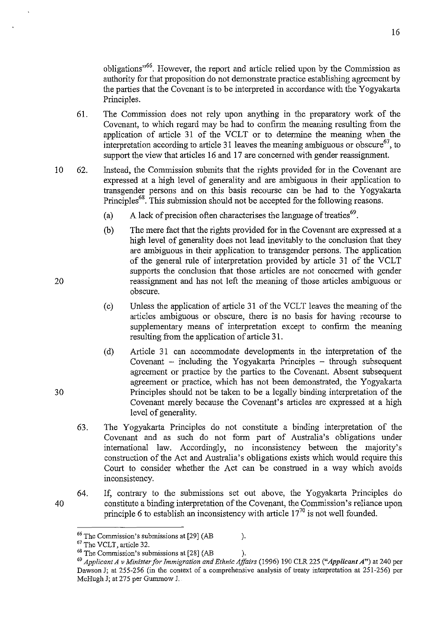obligations<sup>,66</sup>. However, the report and article relied upon by the Commission as authority for that proposition do not demonstrate practice establishing agreement by the parties that the Covenant is to be interpreted in accordance with the Y ogyakarta Principles.

- 61. The Commission does not rely upon anything in the preparatory work of the Covenant, to which regard may be had to confirm the meaning resulting from the application of article 31 of the VCLT or to determine the meaning when the interpretation according to article 31 leaves the meaning ambiguous or obscure<sup>67</sup>, to support the view that articles 16 and 17 are concerned with gender reassignment.
- 10 62. Instead, the Commission submits that the rights provided for in the Covenant are expressed at a high level of generality and are ambiguous in their application to transgender persons and on this basis recourse can be had to the Y ogyakarta Principles<sup>68</sup>. This submission should not be accepted for the following reasons.
	- (a) A lack of precision often characterises the language of treaties<sup>69</sup>.
	- (b) The mere fact that the rights provided for in the Covenant are expressed at a high level of generality does not lead inevitably to the conclusion that they are ambiguous in their application to transgender persons. The application of the general rule of interpretation provided by article 31 of the VCLT supports the conclusion that those articles are not concerned with gender reassignment and has not left the meaning of those articles ambiguous or obscure.
	- (c) Unless the application of article 31 of the VCLT leaves the meaning of the articles ambiguous or obscure, there is no basis for having recourse to supplementary means of interpretation except to confirm the meaning resulting from the application of article 31.
	- (d) Article 31 can accommodate developments in the interpretation of the Covenant  $-$  including the Yogyakarta Principles  $-$  through subsequent agreement or practice by the parties to the Covenant. Absent subsequent agreement or practice, which has not been demonstrated, the Yogyakarta Principles should not be taken to be a legally binding interpretation of the Covenant merely because the Covenant's articles are expressed at a high level of generality.
	- 63. The Yogyakarta Principles do not constitute a binding interpretation of the Covenant and as such do not form part of Australia's obligations under international law. Accordingly, no inconsistency between the majority's construction of the Act and Australia's obligations exists which would require this Court to consider whether the Act can be construed in a way which avoids inconsistency.
	- 64. If, contrary to the submissions set out above, the Yogyakarta Principles do constitute a binding interpretation of the Covenant, the Commission's reliance upon principle 6 to establish an inconsistency with article  $17<sup>70</sup>$  is not well founded.

20

30

<sup>&</sup>lt;sup>66</sup> The Commission's submissions at [29] (AB ).

<sup>67</sup> The VCLT, article 32.

 $68$  The Commission's submissions at [28] (AB ).

*<sup>69</sup> Applicant A* v *Minister for Immigration and Ethnic Affairs* (1996) 190 CLR 225 *("Applicant A")* at 240 per Dawson J; at 255-256 (in the context of a comprehensive analysis of treaty interpretation at 251-256) per McHugh J; at 275 per Gummow J.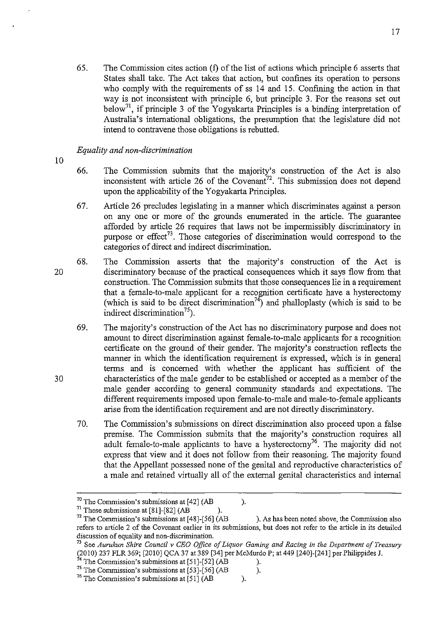17

who comply with the requirements of ss 14 and 15. Confining the action in that way is not inconsistent with principle 6, but principle 3. For the reasons set out  $\frac{1}{2}$  below<sup>71</sup>, if principle 3 of the Yogyakarta Principles is a binding interpretation of Australia's international obligations, the presumption that the legislature did not intend to contravene those obligations is rebutted.

# *Equality and non-discrimination*

10

- 66. The Commission submits that the majority's construction of the Act is also inconsistent with article 26 of the Covenant<sup>72</sup>. This submission does not depend upon the applicability of the Y ogyakarta Principles.
- 67. Article 26 precludes legislating in a manner which discriminates against a person on anyone or more of the grounds enumerated in the article. The guarantee afforded by article 26 requires that laws not be impermissibly discriminatory in purpose or effect<sup>73</sup>. Those categories of discrimination would correspond to the categories of direct and indirect discrimination.
- 20 68. The Commission asserts that the majority's construction of the Act is discriminatory because of the practical consequences which it says flow from that construction. The Commission submits that those consequences lie in a requirement that a female-to-male applicant for a recognition certificate have a hysterectomy (which is said to be direct discrimination<sup>74</sup>) and phalloplasty (which is said to be indirect discrimination<sup>75</sup>).
	- 69. The majority's construction of the Act has no discriminatory purpose and does not amount to direct discrimination against female-to-male applicants for a recognition certificate on the ground of their gender. The majority's construction reflects the manner in which the identification requirement is expressed, which is in general terms and is concerned with whether the applicant has sufficient of the characteristics of the male gender to be established or accepted as a member of the male gender according to general community standards and expectations. The different requirements imposed upon female-ta-male and male-ta-female applicants arise from the identification requirement and are not directly discriminatory.
	- 70. The Commission's submissions on direct discrimination also proceed upon a false premise. The Commission submits that the majority's construction requires all adult female-to-male applicants to have a hysterectomy<sup>76</sup>. The majority did not express that view and it does not follow from their reasoning. The majority found that the Appellant possessed none of the genital and reproductive characteristics of a male and retained virtually all of the external genital characteristics and internal

 $70$  The Commission's submissions at [42] (AB ).

 $71$  These submissions at [81]-[82] (AB

 $72$  The Commission's submissions at [48]-[56] (AB ). As has been noted above, the Commission also **refers to article 2 of the Covenant earlier in its submissions, but does not refer to the article in its detailed discussion of equality and non-discrimination.** 

<sup>73</sup> See *Aurukun Shire Council* v *CEO Office of Liquor Gaming and Racing in the Department of Treasury*  (2010) 237 FLR 369; [2010] QCA 37 at 389 [34] per McMurdo P; at 449 [240]-[241] per Philippides J.

 $^{74}$  The Commission's submissions at [51]-[52] (AB ).

<sup>&</sup>lt;sup>75</sup> The Commission's submissions at  $\left[53\right]$ - $\left[56\right]$  (AB ).

<sup>&</sup>lt;sup>76</sup> The Commission's submissions at  $\overline{[51]}$  (AB ).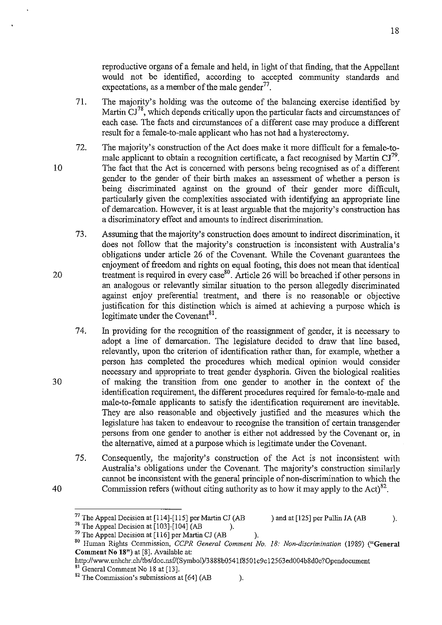reproductive organs of a female and held, in light of that finding, that the Appellant would not be identified, according to accepted community standards and expectations, as a member of the male gender $77$ .

- 71. The majority's holding was the outcome of the balancing exercise identified by Martin  $CI^{78}$ , which depends critically upon the particular facts and circumstances of each case. The facts and circumstances of a different case may produce a different result for a female-to-male applicant who has not had a hysterectomy.
- 72. The majority's construction of the Act does make it more difficult for a female-tomale applicant to obtain a recognition certificate, a fact recognised by Martin  $CI^{79}$ . The fact that the Act is concerned with persons being recognised as of a different gender to the gender of their birth makes an assessment of whether a person is being discriminated against on the ground of their gender more difficult, particularly given the complexities associated with identifying an appropriate line of demarcation. However, it is at least arguable that the majority's construction has a discriminatory effect and amounts to indirect discrimination.
- 73. Assuming that the majority's construction does amount to indirect discrimination, it does not follow that the majority's construction is inconsistent with Australia's obligations under article 26 of the Covenant. While the Covenant guarantees the enjoyment of freedom and rights on equal footing, this does not mean that identical treatment is required in every case<sup>80</sup>. Article 26 will be breached if other persons in an analogous or relevantly similar situation to the person allegedly discriminated against enjoy preferential treatment, and there is no reasonable or objective justification for this distinction which is aimed at achieving a purpose which is legitimate under the Covenant $8<sup>1</sup>$ .
	- 74. In providing for the recognition of the reassignment of gender, it is necessary to adopt a line of demarcation. The legislature decided to draw that line based, relevantly, upon the criterion of identification rather than, for example, whether a person has completed the procedures which medical opinion would consider necessary and appropriate to treat gender dysphoria. Given the biological realities of making the transition from one gender to another in the context of the identification requirement, the different procedures required for female-to-male and male-to-female applicants to satisfy the identification requirement are inevitable. They are also reasonable and objectively justified and the measures which the legislature has taken to endeavour to recognise the transition of certain transgender persons from one gender to another is either not addressed by the Covenant or, in the alternative, aimed at a purpose which is legitimate under the Covenant.
	- 75. Consequently, the majority's construction of the Act is not inconsistent with Australia's obligations under the Covenant. The majority's construction similarly cannot be inconsistent with the general principle of non-discrimination to which the Commission refers (without citing authority as to how it may apply to the Act)<sup>82</sup>.

10

20

30

<sup>&</sup>lt;sup>77</sup> The Appeal Decision at [114]-[115] per Martin CJ (AB ) and at [125] per Pullin JA (AB ).

<sup>&</sup>lt;sup>78</sup> The Appeal Decision at  $\left[103\right]$ - $\left[104\right]$  (AB ).

 $^{79}$  The Appeal Decision at [116] per Martin CJ (AB ).

<sup>80</sup> Human Rights Commission, *CCPR General Comment No.* 18: *Non-discrimination* (1989) ("General Comment No 18") at [8]. Available at:

http://www.unhchr.ch/tbs/doc.nsf/(Symbol)/3888b0541f8501c9c12563ed004b8d0e?Opendocument

<sup>&</sup>lt;sup>81</sup> General Comment No 18 at [13].

 $82$  The Commission's submissions at [64] (AB ).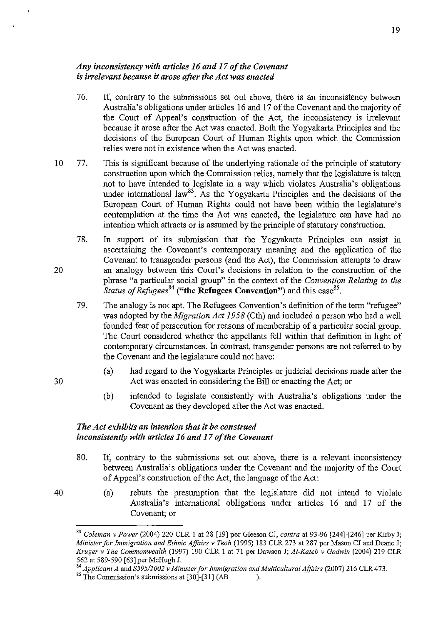### *Any inconsistency with articles* 16 *and* 17 *of the Covenant is irrelevant because it arose after the Act was enacted*

- 76. If, contrary to the submissions set out above, there is an inconsistency between Australia's obligations under articles 16 and 17 of the Covenant and the majority of the Court of Appeal's construction of the Act, the inconsistency is irrelevant because it arose after the Act was enacted. Both the Yogyakarta Principles and the decisions of the European Court of Human Rights upon which the Commission relies were not in existence when the Act was enacted.
- 10 77. This is significant because of the underlying rationale of the principle of statutory construction upon which the Commission relies, namely that the legislature is taken not to have intended to legislate in a way which violates Australia's obligations under international law<sup>83</sup>. As the Yogyakarta Principles and the decisions of the European Court of Human Rights could not have been within the legislature's contemplation at the time the Act was enacted, the legislature can have had no intention which attracts or is assumed by the principle of statutory construction.
	- 78. In support of its submission that the Yogyakarta Principles can assist in ascertaining the Covenant's contemporary meaning and the application of the Covenant to transgender persons (and the Act), the Commission attempts to draw an analogy between this Court's decisions in relation to the construction of the phrase "a particular social group" in the context of the *Convention Relating to the Status of Refugees*<sup>84</sup> ("the Refugees Convention") and this case<sup>85</sup>.
		- 79. The analogy is not apt. The Refugees Convention's definition of the term "refugee" was adopted by the *Migration Act* 1958 (Cth) and included a person who had a well founded fear of persecution for reasons of membership of a particular social group. The Court considered whether the appellants fell within that definition in light of contemporary circumstances. In contrast, transgender persons are not referred to by the Covenant and the legislature could not have:
			- (a) had regard to the Yogyakarta Principles or judicial decisions made after the Act was enacted in considering the Bill or enacting the Act; or
			- (b) intended to legislate consistently with Australia's obligations under the Covenant as they developed after the Act was enacted.

# *The Act exhibits an intention that it be construed inconsistently with articles* 16 *and* 17 *of the Covenant*

- 80. If, contrary to the submissions set out above, there is a relevant inconsistency between Australia's obligations under the Covenant and the majority of the Court of Appeal's construction of the Act, the language of the Act:
	- (a) rebuts the presumption that the legislature did not intend to violate Australia's international obligations under articles 16 and 17 of the Covenant; or

20

30

<sup>83</sup>*Colemon* v *Power* (2004) 220 CLR 1 at 28 [19] per Gleeson CJ, *contra* at 93-96 [244]-[246] per Kirby J; *Minister for Immigration and Ethnic Affairs* v *Teoh* (1995) 183 CLR 273 at 287 per Mason CJ and Deane J; *Kruger* v *The Commonwealth* (1997) 190 CLR 1 at 71 per Dawson J; *AI-Kateh* v *Godwin* (2004) 219 CLR 562 at 589-590 [63] per McHugh J.

<sup>84</sup>*Applicant A* and *S39512002* v *Minister for Immigration and Multicultural Affairs* (2007) 216 CLR 473.

 $85$  The Commission's submissions at [30]-[31] (AB ).